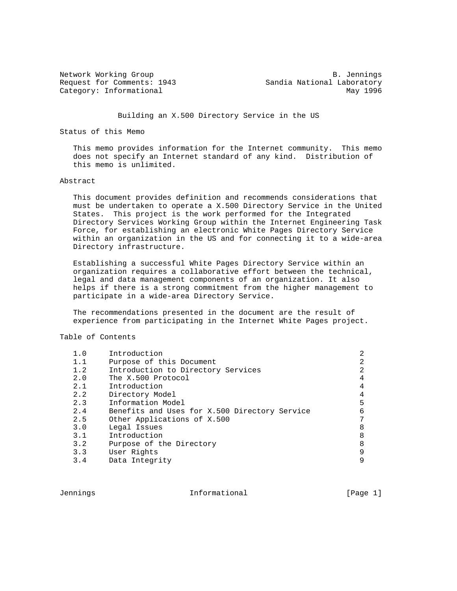Network Working Group and B. Jennings Request for Comments: 1943 Sandia National Laboratory Category: Informational May 1996

Building an X.500 Directory Service in the US

Status of this Memo

 This memo provides information for the Internet community. This memo does not specify an Internet standard of any kind. Distribution of this memo is unlimited.

#### Abstract

 This document provides definition and recommends considerations that must be undertaken to operate a X.500 Directory Service in the United States. This project is the work performed for the Integrated Directory Services Working Group within the Internet Engineering Task Force, for establishing an electronic White Pages Directory Service within an organization in the US and for connecting it to a wide-area Directory infrastructure.

 Establishing a successful White Pages Directory Service within an organization requires a collaborative effort between the technical, legal and data management components of an organization. It also helps if there is a strong commitment from the higher management to participate in a wide-area Directory Service.

 The recommendations presented in the document are the result of experience from participating in the Internet White Pages project.

Table of Contents

| Introduction                                  |   |
|-----------------------------------------------|---|
| Purpose of this Document                      |   |
| Introduction to Directory Services            | っ |
| The X.500 Protocol                            |   |
| Introduction                                  |   |
| Directory Model                               |   |
| Information Model                             | 5 |
| Benefits and Uses for X.500 Directory Service |   |
| Other Applications of X.500                   |   |
| Legal Issues                                  |   |
| Introduction                                  | 8 |
| Purpose of the Directory                      |   |
| User Rights                                   | q |
| Data Integrity                                |   |
|                                               |   |

Jennings Informational [Page 1]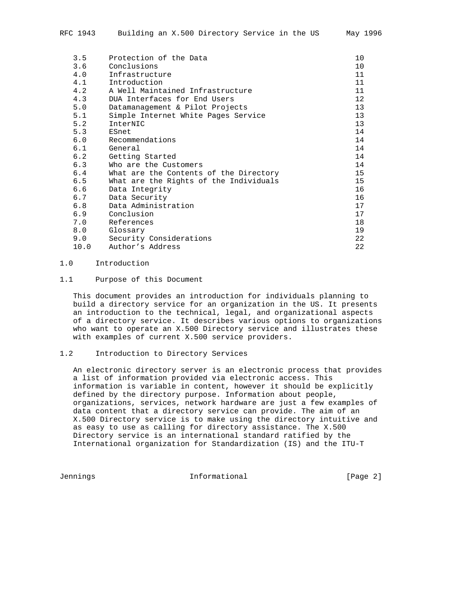| 3.5  | Protection of the Data                 | 10              |
|------|----------------------------------------|-----------------|
| 3.6  | Conclusions                            | 10              |
| 4.0  | Infrastructure                         | 11              |
| 4.1  | Introduction                           | 11              |
| 4.2  | A Well Maintained Infrastructure       | 11              |
| 4.3  | DUA Interfaces for End Users           | 12 <sup>°</sup> |
| 5.0  | Datamanagement & Pilot Projects        | 13              |
| 5.1  | Simple Internet White Pages Service    | 13              |
| 5.2  | InterNIC                               | 13              |
| 5.3  | ESnet                                  | 14              |
| 6.0  | Recommendations                        | 14              |
| 6.1  | General                                | 14              |
| 6.2  | Getting Started                        | 14              |
| 6.3  | Who are the Customers                  | 14              |
| 6.4  | What are the Contents of the Directory | 15              |
| 6.5  | What are the Rights of the Individuals | 15              |
| 6.6  | Data Integrity                         | 16              |
| 6.7  | Data Security                          | 16              |
| 6.8  | Data Administration                    | 17              |
| 6.9  | Conclusion                             | 17              |
| 7.0  | References                             | 18              |
| 8.0  | Glossary                               | 19              |
| 9.0  | Security Considerations                | 22              |
| 10.0 | Author's Address                       | 22              |

#### 1.0 Introduction

### 1.1 Purpose of this Document

 This document provides an introduction for individuals planning to build a directory service for an organization in the US. It presents an introduction to the technical, legal, and organizational aspects of a directory service. It describes various options to organizations who want to operate an X.500 Directory service and illustrates these with examples of current X.500 service providers.

## 1.2 Introduction to Directory Services

 An electronic directory server is an electronic process that provides a list of information provided via electronic access. This information is variable in content, however it should be explicitly defined by the directory purpose. Information about people, organizations, services, network hardware are just a few examples of data content that a directory service can provide. The aim of an X.500 Directory service is to make using the directory intuitive and as easy to use as calling for directory assistance. The X.500 Directory service is an international standard ratified by the International organization for Standardization (IS) and the ITU-T

Jennings Informational [Page 2]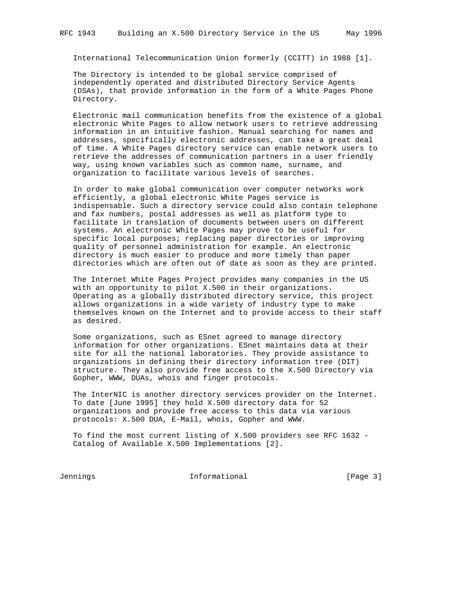International Telecommunication Union formerly (CCITT) in 1988 [1].

 The Directory is intended to be global service comprised of independently operated and distributed Directory Service Agents (DSAs), that provide information in the form of a White Pages Phone Directory.

 Electronic mail communication benefits from the existence of a global electronic White Pages to allow network users to retrieve addressing information in an intuitive fashion. Manual searching for names and addresses, specifically electronic addresses, can take a great deal of time. A White Pages directory service can enable network users to retrieve the addresses of communication partners in a user friendly way, using known variables such as common name, surname, and organization to facilitate various levels of searches.

 In order to make global communication over computer networks work efficiently, a global electronic White Pages service is indispensable. Such a directory service could also contain telephone and fax numbers, postal addresses as well as platform type to facilitate in translation of documents between users on different systems. An electronic White Pages may prove to be useful for specific local purposes; replacing paper directories or improving quality of personnel administration for example. An electronic directory is much easier to produce and more timely than paper directories which are often out of date as soon as they are printed.

 The Internet White Pages Project provides many companies in the US with an opportunity to pilot X.500 in their organizations. Operating as a globally distributed directory service, this project allows organizations in a wide variety of industry type to make themselves known on the Internet and to provide access to their staff as desired.

 Some organizations, such as ESnet agreed to manage directory information for other organizations. ESnet maintains data at their site for all the national laboratories. They provide assistance to organizations in defining their directory information tree (DIT) structure. They also provide free access to the X.500 Directory via Gopher, WWW, DUAs, whois and finger protocols.

 The InterNIC is another directory services provider on the Internet. To date [June 1995] they hold X.500 directory data for 52 organizations and provide free access to this data via various protocols: X.500 DUA, E-Mail, whois, Gopher and WWW.

 To find the most current listing of X.500 providers see RFC 1632 - Catalog of Available X.500 Implementations [2].

Jennings 10 1nformational 100 minutional [Page 3]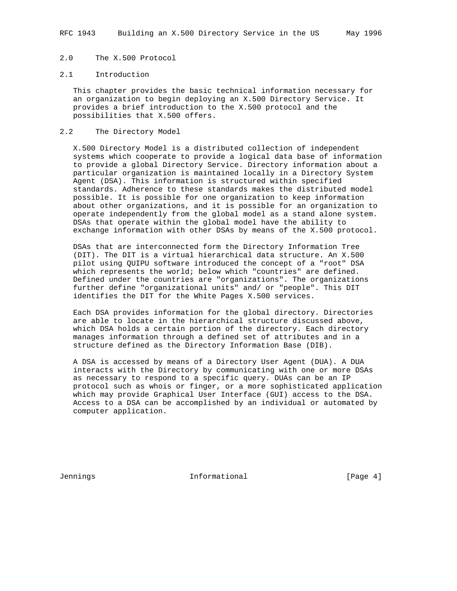## 2.0 The X.500 Protocol

#### 2.1 Introduction

 This chapter provides the basic technical information necessary for an organization to begin deploying an X.500 Directory Service. It provides a brief introduction to the X.500 protocol and the possibilities that X.500 offers.

### 2.2 The Directory Model

 X.500 Directory Model is a distributed collection of independent systems which cooperate to provide a logical data base of information to provide a global Directory Service. Directory information about a particular organization is maintained locally in a Directory System Agent (DSA). This information is structured within specified standards. Adherence to these standards makes the distributed model possible. It is possible for one organization to keep information about other organizations, and it is possible for an organization to operate independently from the global model as a stand alone system. DSAs that operate within the global model have the ability to exchange information with other DSAs by means of the X.500 protocol.

 DSAs that are interconnected form the Directory Information Tree (DIT). The DIT is a virtual hierarchical data structure. An X.500 pilot using QUIPU software introduced the concept of a "root" DSA which represents the world; below which "countries" are defined. Defined under the countries are "organizations". The organizations further define "organizational units" and/ or "people". This DIT identifies the DIT for the White Pages X.500 services.

 Each DSA provides information for the global directory. Directories are able to locate in the hierarchical structure discussed above, which DSA holds a certain portion of the directory. Each directory manages information through a defined set of attributes and in a structure defined as the Directory Information Base (DIB).

 A DSA is accessed by means of a Directory User Agent (DUA). A DUA interacts with the Directory by communicating with one or more DSAs as necessary to respond to a specific query. DUAs can be an IP protocol such as whois or finger, or a more sophisticated application which may provide Graphical User Interface (GUI) access to the DSA. Access to a DSA can be accomplished by an individual or automated by computer application.

Jennings 10 1nformational 1999 (Page 4)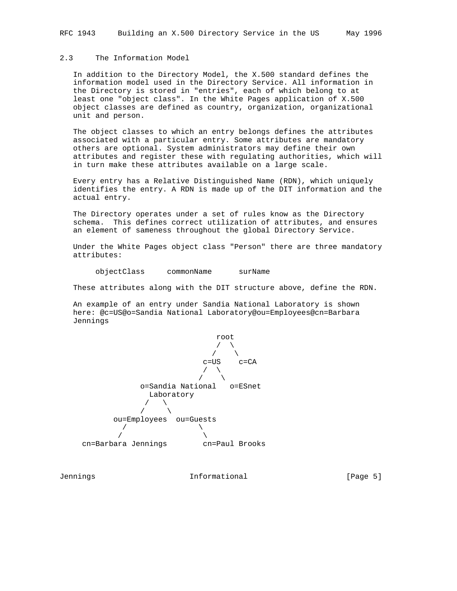# 2.3 The Information Model

 In addition to the Directory Model, the X.500 standard defines the information model used in the Directory Service. All information in the Directory is stored in "entries", each of which belong to at least one "object class". In the White Pages application of X.500 object classes are defined as country, organization, organizational unit and person.

 The object classes to which an entry belongs defines the attributes associated with a particular entry. Some attributes are mandatory others are optional. System administrators may define their own attributes and register these with regulating authorities, which will in turn make these attributes available on a large scale.

 Every entry has a Relative Distinguished Name (RDN), which uniquely identifies the entry. A RDN is made up of the DIT information and the actual entry.

 The Directory operates under a set of rules know as the Directory schema. This defines correct utilization of attributes, and ensures an element of sameness throughout the global Directory Service.

 Under the White Pages object class "Person" there are three mandatory attributes:

objectClass commonName surName

These attributes along with the DIT structure above, define the RDN.

 An example of an entry under Sandia National Laboratory is shown here: @c=US@o=Sandia National Laboratory@ou=Employees@cn=Barbara Jennings



Jennings 10 1nformational 1999 [Page 5]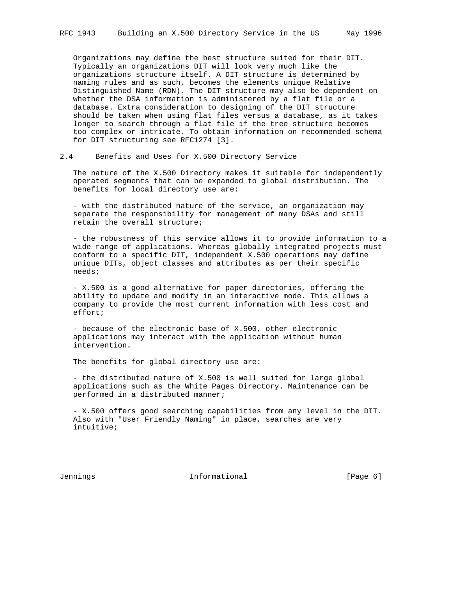Organizations may define the best structure suited for their DIT. Typically an organizations DIT will look very much like the organizations structure itself. A DIT structure is determined by naming rules and as such, becomes the elements unique Relative Distinguished Name (RDN). The DIT structure may also be dependent on whether the DSA information is administered by a flat file or a database. Extra consideration to designing of the DIT structure should be taken when using flat files versus a database, as it takes longer to search through a flat file if the tree structure becomes too complex or intricate. To obtain information on recommended schema for DIT structuring see RFC1274 [3].

2.4 Benefits and Uses for X.500 Directory Service

 The nature of the X.500 Directory makes it suitable for independently operated segments that can be expanded to global distribution. The benefits for local directory use are:

 - with the distributed nature of the service, an organization may separate the responsibility for management of many DSAs and still retain the overall structure;

 - the robustness of this service allows it to provide information to a wide range of applications. Whereas globally integrated projects must conform to a specific DIT, independent X.500 operations may define unique DITs, object classes and attributes as per their specific needs;

 - X.500 is a good alternative for paper directories, offering the ability to update and modify in an interactive mode. This allows a company to provide the most current information with less cost and effort;

 - because of the electronic base of X.500, other electronic applications may interact with the application without human intervention.

The benefits for global directory use are:

 - the distributed nature of X.500 is well suited for large global applications such as the White Pages Directory. Maintenance can be performed in a distributed manner;

 - X.500 offers good searching capabilities from any level in the DIT. Also with "User Friendly Naming" in place, searches are very intuitive;

Jennings and Informational and Informational (Page 6)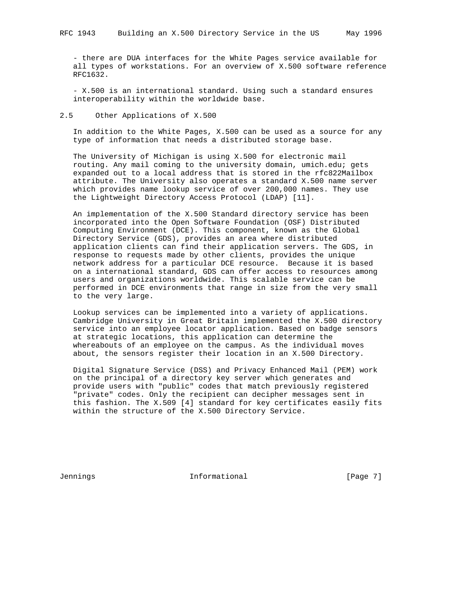- there are DUA interfaces for the White Pages service available for all types of workstations. For an overview of X.500 software reference RFC1632.

 - X.500 is an international standard. Using such a standard ensures interoperability within the worldwide base.

### 2.5 Other Applications of X.500

 In addition to the White Pages, X.500 can be used as a source for any type of information that needs a distributed storage base.

 The University of Michigan is using X.500 for electronic mail routing. Any mail coming to the university domain, umich.edu; gets expanded out to a local address that is stored in the rfc822Mailbox attribute. The University also operates a standard X.500 name server which provides name lookup service of over 200,000 names. They use the Lightweight Directory Access Protocol (LDAP) [11].

 An implementation of the X.500 Standard directory service has been incorporated into the Open Software Foundation (OSF) Distributed Computing Environment (DCE). This component, known as the Global Directory Service (GDS), provides an area where distributed application clients can find their application servers. The GDS, in response to requests made by other clients, provides the unique network address for a particular DCE resource. Because it is based on a international standard, GDS can offer access to resources among users and organizations worldwide. This scalable service can be performed in DCE environments that range in size from the very small to the very large.

 Lookup services can be implemented into a variety of applications. Cambridge University in Great Britain implemented the X.500 directory service into an employee locator application. Based on badge sensors at strategic locations, this application can determine the whereabouts of an employee on the campus. As the individual moves about, the sensors register their location in an X.500 Directory.

 Digital Signature Service (DSS) and Privacy Enhanced Mail (PEM) work on the principal of a directory key server which generates and provide users with "public" codes that match previously registered "private" codes. Only the recipient can decipher messages sent in this fashion. The X.509 [4] standard for key certificates easily fits within the structure of the X.500 Directory Service.

Jennings 10 1nformational 1999 [Page 7]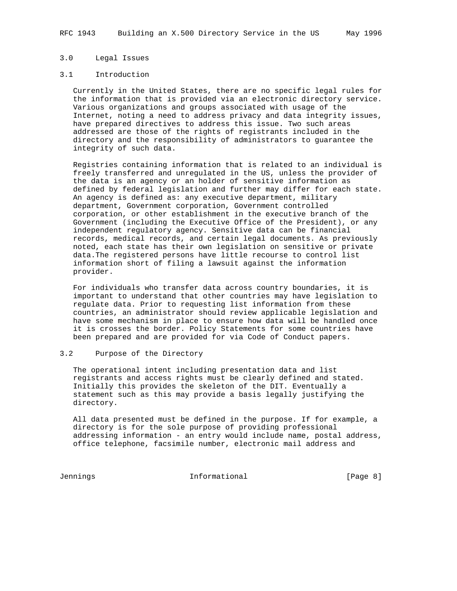## 3.0 Legal Issues

#### 3.1 Introduction

 Currently in the United States, there are no specific legal rules for the information that is provided via an electronic directory service. Various organizations and groups associated with usage of the Internet, noting a need to address privacy and data integrity issues, have prepared directives to address this issue. Two such areas addressed are those of the rights of registrants included in the directory and the responsibility of administrators to guarantee the integrity of such data.

 Registries containing information that is related to an individual is freely transferred and unregulated in the US, unless the provider of the data is an agency or an holder of sensitive information as defined by federal legislation and further may differ for each state. An agency is defined as: any executive department, military department, Government corporation, Government controlled corporation, or other establishment in the executive branch of the Government (including the Executive Office of the President), or any independent regulatory agency. Sensitive data can be financial records, medical records, and certain legal documents. As previously noted, each state has their own legislation on sensitive or private data.The registered persons have little recourse to control list information short of filing a lawsuit against the information provider.

 For individuals who transfer data across country boundaries, it is important to understand that other countries may have legislation to regulate data. Prior to requesting list information from these countries, an administrator should review applicable legislation and have some mechanism in place to ensure how data will be handled once it is crosses the border. Policy Statements for some countries have been prepared and are provided for via Code of Conduct papers.

### 3.2 Purpose of the Directory

 The operational intent including presentation data and list registrants and access rights must be clearly defined and stated. Initially this provides the skeleton of the DIT. Eventually a statement such as this may provide a basis legally justifying the directory.

 All data presented must be defined in the purpose. If for example, a directory is for the sole purpose of providing professional addressing information - an entry would include name, postal address, office telephone, facsimile number, electronic mail address and

Jennings 1nformational 1999 [Page 8]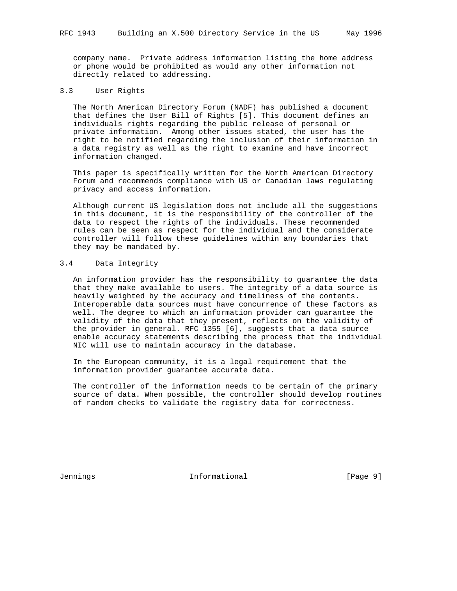company name. Private address information listing the home address or phone would be prohibited as would any other information not directly related to addressing.

#### 3.3 User Rights

 The North American Directory Forum (NADF) has published a document that defines the User Bill of Rights [5]. This document defines an individuals rights regarding the public release of personal or private information. Among other issues stated, the user has the right to be notified regarding the inclusion of their information in a data registry as well as the right to examine and have incorrect information changed.

 This paper is specifically written for the North American Directory Forum and recommends compliance with US or Canadian laws regulating privacy and access information.

 Although current US legislation does not include all the suggestions in this document, it is the responsibility of the controller of the data to respect the rights of the individuals. These recommended rules can be seen as respect for the individual and the considerate controller will follow these guidelines within any boundaries that they may be mandated by.

#### 3.4 Data Integrity

 An information provider has the responsibility to guarantee the data that they make available to users. The integrity of a data source is heavily weighted by the accuracy and timeliness of the contents. Interoperable data sources must have concurrence of these factors as well. The degree to which an information provider can guarantee the validity of the data that they present, reflects on the validity of the provider in general. RFC 1355 [6], suggests that a data source enable accuracy statements describing the process that the individual NIC will use to maintain accuracy in the database.

 In the European community, it is a legal requirement that the information provider guarantee accurate data.

 The controller of the information needs to be certain of the primary source of data. When possible, the controller should develop routines of random checks to validate the registry data for correctness.

Jennings 10 1nformational 1999 [Page 9]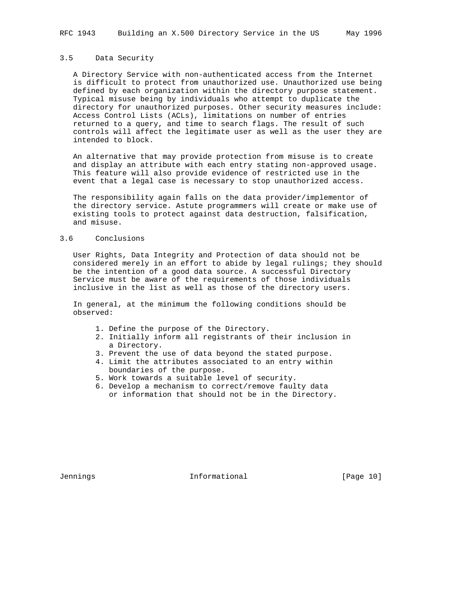#### 3.5 Data Security

 A Directory Service with non-authenticated access from the Internet is difficult to protect from unauthorized use. Unauthorized use being defined by each organization within the directory purpose statement. Typical misuse being by individuals who attempt to duplicate the directory for unauthorized purposes. Other security measures include: Access Control Lists (ACLs), limitations on number of entries returned to a query, and time to search flags. The result of such controls will affect the legitimate user as well as the user they are intended to block.

 An alternative that may provide protection from misuse is to create and display an attribute with each entry stating non-approved usage. This feature will also provide evidence of restricted use in the event that a legal case is necessary to stop unauthorized access.

 The responsibility again falls on the data provider/implementor of the directory service. Astute programmers will create or make use of existing tools to protect against data destruction, falsification, and misuse.

#### 3.6 Conclusions

 User Rights, Data Integrity and Protection of data should not be considered merely in an effort to abide by legal rulings; they should be the intention of a good data source. A successful Directory Service must be aware of the requirements of those individuals inclusive in the list as well as those of the directory users.

 In general, at the minimum the following conditions should be observed:

- 1. Define the purpose of the Directory.
- 2. Initially inform all registrants of their inclusion in a Directory.
- 3. Prevent the use of data beyond the stated purpose.
- 4. Limit the attributes associated to an entry within boundaries of the purpose.
- 5. Work towards a suitable level of security.
- 6. Develop a mechanism to correct/remove faulty data or information that should not be in the Directory.

Jennings Informational [Page 10]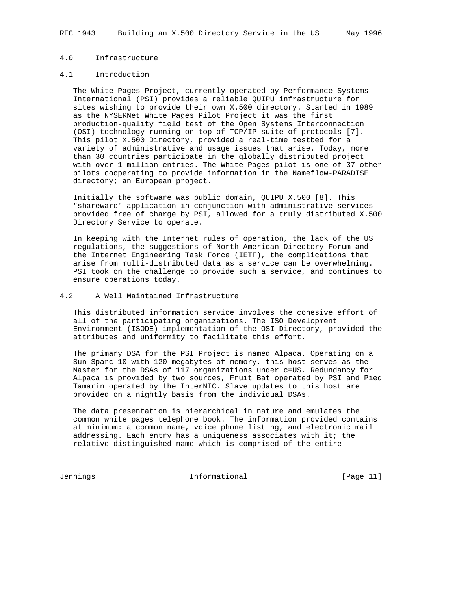## 4.0 Infrastructure

#### 4.1 Introduction

 The White Pages Project, currently operated by Performance Systems International (PSI) provides a reliable QUIPU infrastructure for sites wishing to provide their own X.500 directory. Started in 1989 as the NYSERNet White Pages Pilot Project it was the first production-quality field test of the Open Systems Interconnection (OSI) technology running on top of TCP/IP suite of protocols [7]. This pilot X.500 Directory, provided a real-time testbed for a variety of administrative and usage issues that arise. Today, more than 30 countries participate in the globally distributed project with over 1 million entries. The White Pages pilot is one of 37 other pilots cooperating to provide information in the Nameflow-PARADISE directory; an European project.

 Initially the software was public domain, QUIPU X.500 [8]. This "shareware" application in conjunction with administrative services provided free of charge by PSI, allowed for a truly distributed X.500 Directory Service to operate.

 In keeping with the Internet rules of operation, the lack of the US regulations, the suggestions of North American Directory Forum and the Internet Engineering Task Force (IETF), the complications that arise from multi-distributed data as a service can be overwhelming. PSI took on the challenge to provide such a service, and continues to ensure operations today.

### 4.2 A Well Maintained Infrastructure

 This distributed information service involves the cohesive effort of all of the participating organizations. The ISO Development Environment (ISODE) implementation of the OSI Directory, provided the attributes and uniformity to facilitate this effort.

 The primary DSA for the PSI Project is named Alpaca. Operating on a Sun Sparc 10 with 120 megabytes of memory, this host serves as the Master for the DSAs of 117 organizations under c=US. Redundancy for Alpaca is provided by two sources, Fruit Bat operated by PSI and Pied Tamarin operated by the InterNIC. Slave updates to this host are provided on a nightly basis from the individual DSAs.

 The data presentation is hierarchical in nature and emulates the common white pages telephone book. The information provided contains at minimum: a common name, voice phone listing, and electronic mail addressing. Each entry has a uniqueness associates with it; the relative distinguished name which is comprised of the entire

Jennings 10 11 Informational 10 10 12 12 13 14 15 16 17 18 18 19 19 19 19 19 19 1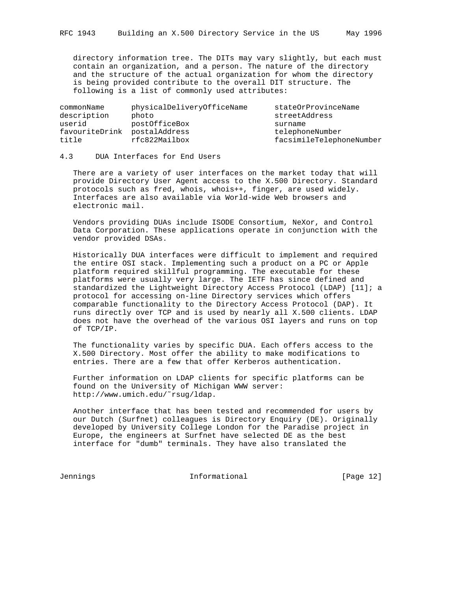directory information tree. The DITs may vary slightly, but each must contain an organization, and a person. The nature of the directory and the structure of the actual organization for whom the directory is being provided contribute to the overall DIT structure. The following is a list of commonly used attributes:

| commonName     | physicalDeliveryOfficeName | stateOrProvinceName      |
|----------------|----------------------------|--------------------------|
| description    | photo                      | streetAddress            |
| userid         | postOfficeBox              | surname                  |
| favouriteDrink | postalAddress              | telephoneNumber          |
| title          | rfc822Mailbox              | facsimileTelephoneNumber |

## 4.3 DUA Interfaces for End Users

 There are a variety of user interfaces on the market today that will provide Directory User Agent access to the X.500 Directory. Standard protocols such as fred, whois, whois++, finger, are used widely. Interfaces are also available via World-wide Web browsers and electronic mail.

 Vendors providing DUAs include ISODE Consortium, NeXor, and Control Data Corporation. These applications operate in conjunction with the vendor provided DSAs.

 Historically DUA interfaces were difficult to implement and required the entire OSI stack. Implementing such a product on a PC or Apple platform required skillful programming. The executable for these platforms were usually very large. The IETF has since defined and standardized the Lightweight Directory Access Protocol (LDAP) [11]; a protocol for accessing on-line Directory services which offers comparable functionality to the Directory Access Protocol (DAP). It runs directly over TCP and is used by nearly all X.500 clients. LDAP does not have the overhead of the various OSI layers and runs on top of TCP/IP.

 The functionality varies by specific DUA. Each offers access to the X.500 Directory. Most offer the ability to make modifications to entries. There are a few that offer Kerberos authentication.

 Further information on LDAP clients for specific platforms can be found on the University of Michigan WWW server: http://www.umich.edu/˜rsug/ldap.

 Another interface that has been tested and recommended for users by our Dutch (Surfnet) colleagues is Directory Enquiry (DE). Originally developed by University College London for the Paradise project in Europe, the engineers at Surfnet have selected DE as the best interface for "dumb" terminals. They have also translated the

Jennings Informational [Page 12]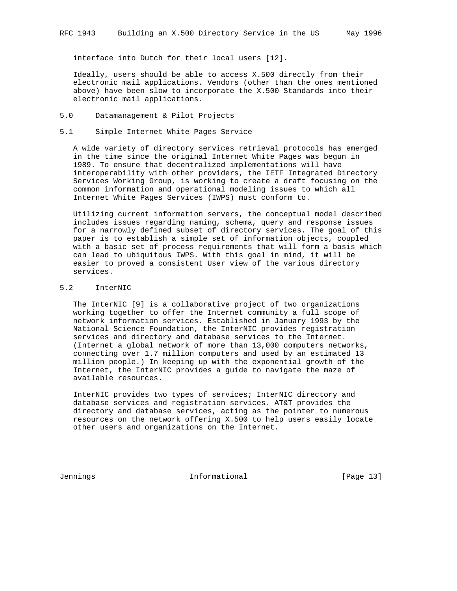interface into Dutch for their local users [12].

 Ideally, users should be able to access X.500 directly from their electronic mail applications. Vendors (other than the ones mentioned above) have been slow to incorporate the X.500 Standards into their electronic mail applications.

- 5.0 Datamanagement & Pilot Projects
- 5.1 Simple Internet White Pages Service

 A wide variety of directory services retrieval protocols has emerged in the time since the original Internet White Pages was begun in 1989. To ensure that decentralized implementations will have interoperability with other providers, the IETF Integrated Directory Services Working Group, is working to create a draft focusing on the common information and operational modeling issues to which all Internet White Pages Services (IWPS) must conform to.

 Utilizing current information servers, the conceptual model described includes issues regarding naming, schema, query and response issues for a narrowly defined subset of directory services. The goal of this paper is to establish a simple set of information objects, coupled with a basic set of process requirements that will form a basis which can lead to ubiquitous IWPS. With this goal in mind, it will be easier to proved a consistent User view of the various directory services.

5.2 InterNIC

 The InterNIC [9] is a collaborative project of two organizations working together to offer the Internet community a full scope of network information services. Established in January 1993 by the National Science Foundation, the InterNIC provides registration services and directory and database services to the Internet. (Internet a global network of more than 13,000 computers networks, connecting over 1.7 million computers and used by an estimated 13 million people.) In keeping up with the exponential growth of the Internet, the InterNIC provides a guide to navigate the maze of available resources.

 InterNIC provides two types of services; InterNIC directory and database services and registration services. AT&T provides the directory and database services, acting as the pointer to numerous resources on the network offering X.500 to help users easily locate other users and organizations on the Internet.

Jennings Informational [Page 13]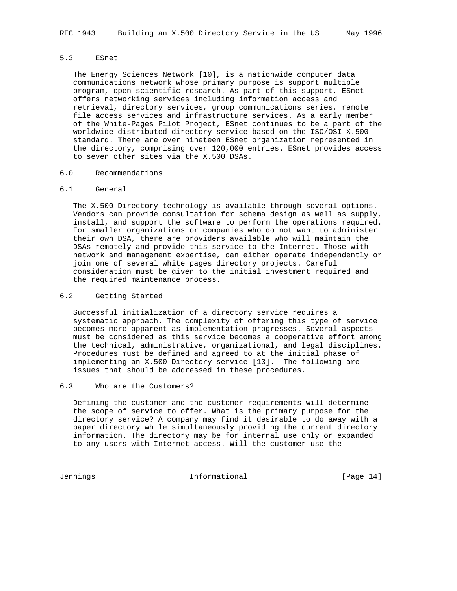#### 5.3 ESnet

 The Energy Sciences Network [10], is a nationwide computer data communications network whose primary purpose is support multiple program, open scientific research. As part of this support, ESnet offers networking services including information access and retrieval, directory services, group communications series, remote file access services and infrastructure services. As a early member of the White-Pages Pilot Project, ESnet continues to be a part of the worldwide distributed directory service based on the ISO/OSI X.500 standard. There are over nineteen ESnet organization represented in the directory, comprising over 120,000 entries. ESnet provides access to seven other sites via the X.500 DSAs.

#### 6.0 Recommendations

#### 6.1 General

 The X.500 Directory technology is available through several options. Vendors can provide consultation for schema design as well as supply, install, and support the software to perform the operations required. For smaller organizations or companies who do not want to administer their own DSA, there are providers available who will maintain the DSAs remotely and provide this service to the Internet. Those with network and management expertise, can either operate independently or join one of several white pages directory projects. Careful consideration must be given to the initial investment required and the required maintenance process.

### 6.2 Getting Started

 Successful initialization of a directory service requires a systematic approach. The complexity of offering this type of service becomes more apparent as implementation progresses. Several aspects must be considered as this service becomes a cooperative effort among the technical, administrative, organizational, and legal disciplines. Procedures must be defined and agreed to at the initial phase of implementing an X.500 Directory service [13]. The following are issues that should be addressed in these procedures.

#### 6.3 Who are the Customers?

 Defining the customer and the customer requirements will determine the scope of service to offer. What is the primary purpose for the directory service? A company may find it desirable to do away with a paper directory while simultaneously providing the current directory information. The directory may be for internal use only or expanded to any users with Internet access. Will the customer use the

Jennings Informational [Page 14]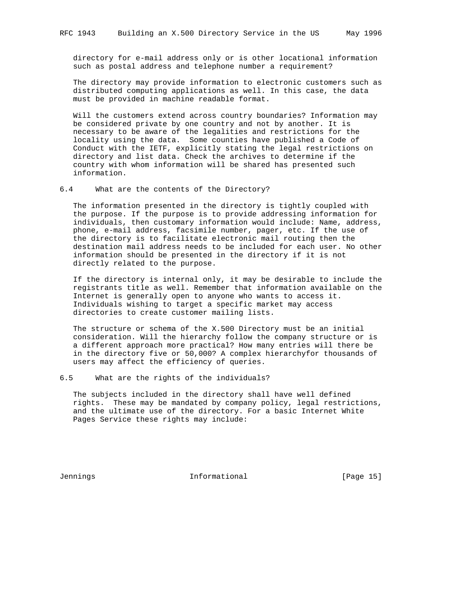directory for e-mail address only or is other locational information such as postal address and telephone number a requirement?

 The directory may provide information to electronic customers such as distributed computing applications as well. In this case, the data must be provided in machine readable format.

 Will the customers extend across country boundaries? Information may be considered private by one country and not by another. It is necessary to be aware of the legalities and restrictions for the locality using the data. Some counties have published a Code of Conduct with the IETF, explicitly stating the legal restrictions on directory and list data. Check the archives to determine if the country with whom information will be shared has presented such information.

6.4 What are the contents of the Directory?

 The information presented in the directory is tightly coupled with the purpose. If the purpose is to provide addressing information for individuals, then customary information would include: Name, address, phone, e-mail address, facsimile number, pager, etc. If the use of the directory is to facilitate electronic mail routing then the destination mail address needs to be included for each user. No other information should be presented in the directory if it is not directly related to the purpose.

 If the directory is internal only, it may be desirable to include the registrants title as well. Remember that information available on the Internet is generally open to anyone who wants to access it. Individuals wishing to target a specific market may access directories to create customer mailing lists.

 The structure or schema of the X.500 Directory must be an initial consideration. Will the hierarchy follow the company structure or is a different approach more practical? How many entries will there be in the directory five or 50,000? A complex hierarchyfor thousands of users may affect the efficiency of queries.

6.5 What are the rights of the individuals?

 The subjects included in the directory shall have well defined rights. These may be mandated by company policy, legal restrictions, and the ultimate use of the directory. For a basic Internet White Pages Service these rights may include:

Jennings Informational [Page 15]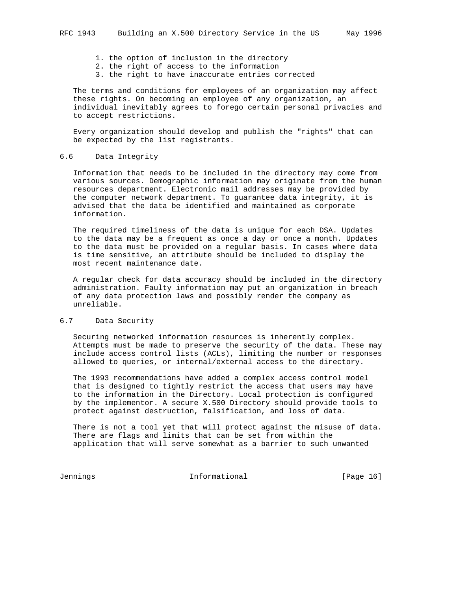- 1. the option of inclusion in the directory
- 2. the right of access to the information
- 3. the right to have inaccurate entries corrected

 The terms and conditions for employees of an organization may affect these rights. On becoming an employee of any organization, an individual inevitably agrees to forego certain personal privacies and to accept restrictions.

 Every organization should develop and publish the "rights" that can be expected by the list registrants.

#### 6.6 Data Integrity

 Information that needs to be included in the directory may come from various sources. Demographic information may originate from the human resources department. Electronic mail addresses may be provided by the computer network department. To guarantee data integrity, it is advised that the data be identified and maintained as corporate information.

 The required timeliness of the data is unique for each DSA. Updates to the data may be a frequent as once a day or once a month. Updates to the data must be provided on a regular basis. In cases where data is time sensitive, an attribute should be included to display the most recent maintenance date.

 A regular check for data accuracy should be included in the directory administration. Faulty information may put an organization in breach of any data protection laws and possibly render the company as unreliable.

### 6.7 Data Security

 Securing networked information resources is inherently complex. Attempts must be made to preserve the security of the data. These may include access control lists (ACLs), limiting the number or responses allowed to queries, or internal/external access to the directory.

 The 1993 recommendations have added a complex access control model that is designed to tightly restrict the access that users may have to the information in the Directory. Local protection is configured by the implementor. A secure X.500 Directory should provide tools to protect against destruction, falsification, and loss of data.

 There is not a tool yet that will protect against the misuse of data. There are flags and limits that can be set from within the application that will serve somewhat as a barrier to such unwanted

Jennings 16 1nformational 1999 [Page 16]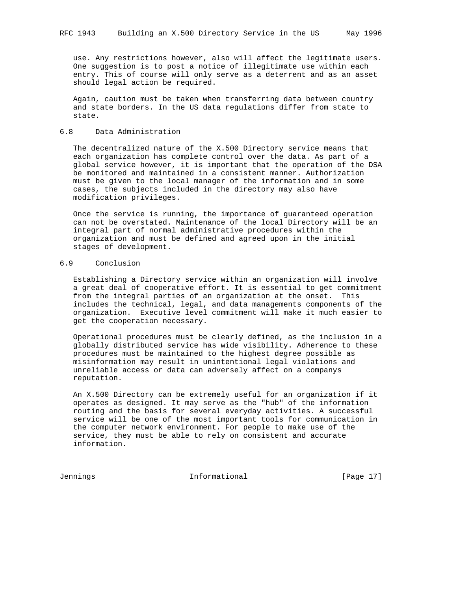use. Any restrictions however, also will affect the legitimate users. One suggestion is to post a notice of illegitimate use within each entry. This of course will only serve as a deterrent and as an asset should legal action be required.

 Again, caution must be taken when transferring data between country and state borders. In the US data regulations differ from state to state.

### 6.8 Data Administration

 The decentralized nature of the X.500 Directory service means that each organization has complete control over the data. As part of a global service however, it is important that the operation of the DSA be monitored and maintained in a consistent manner. Authorization must be given to the local manager of the information and in some cases, the subjects included in the directory may also have modification privileges.

 Once the service is running, the importance of guaranteed operation can not be overstated. Maintenance of the local Directory will be an integral part of normal administrative procedures within the organization and must be defined and agreed upon in the initial stages of development.

#### 6.9 Conclusion

 Establishing a Directory service within an organization will involve a great deal of cooperative effort. It is essential to get commitment from the integral parties of an organization at the onset. This includes the technical, legal, and data managements components of the organization. Executive level commitment will make it much easier to get the cooperation necessary.

 Operational procedures must be clearly defined, as the inclusion in a globally distributed service has wide visibility. Adherence to these procedures must be maintained to the highest degree possible as misinformation may result in unintentional legal violations and unreliable access or data can adversely affect on a companys reputation.

 An X.500 Directory can be extremely useful for an organization if it operates as designed. It may serve as the "hub" of the information routing and the basis for several everyday activities. A successful service will be one of the most important tools for communication in the computer network environment. For people to make use of the service, they must be able to rely on consistent and accurate information.

Jennings Informational [Page 17]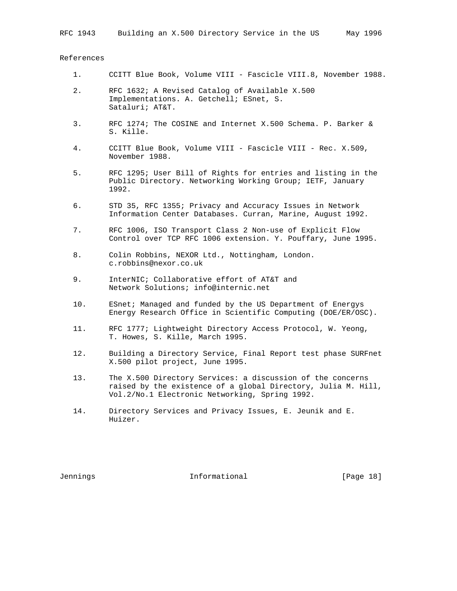### References

- 1. CCITT Blue Book, Volume VIII Fascicle VIII.8, November 1988.
- 2. RFC 1632; A Revised Catalog of Available X.500 Implementations. A. Getchell; ESnet, S. Sataluri; AT&T.
- 3. RFC 1274; The COSINE and Internet X.500 Schema. P. Barker & S. Kille.
- 4. CCITT Blue Book, Volume VIII Fascicle VIII Rec. X.509, November 1988.
- 5. RFC 1295; User Bill of Rights for entries and listing in the Public Directory. Networking Working Group; IETF, January 1992.
- 6. STD 35, RFC 1355; Privacy and Accuracy Issues in Network Information Center Databases. Curran, Marine, August 1992.
- 7. RFC 1006, ISO Transport Class 2 Non-use of Explicit Flow Control over TCP RFC 1006 extension. Y. Pouffary, June 1995.
- 8. Colin Robbins, NEXOR Ltd., Nottingham, London. c.robbins@nexor.co.uk
- 9. InterNIC; Collaborative effort of AT&T and Network Solutions; info@internic.net
- 10. ESnet; Managed and funded by the US Department of Energys Energy Research Office in Scientific Computing (DOE/ER/OSC).
- 11. RFC 1777; Lightweight Directory Access Protocol, W. Yeong, T. Howes, S. Kille, March 1995.
- 12. Building a Directory Service, Final Report test phase SURFnet X.500 pilot project, June 1995.
- 13. The X.500 Directory Services: a discussion of the concerns raised by the existence of a global Directory, Julia M. Hill, Vol.2/No.1 Electronic Networking, Spring 1992.
- 14. Directory Services and Privacy Issues, E. Jeunik and E. Huizer.

Jennings Informational [Page 18]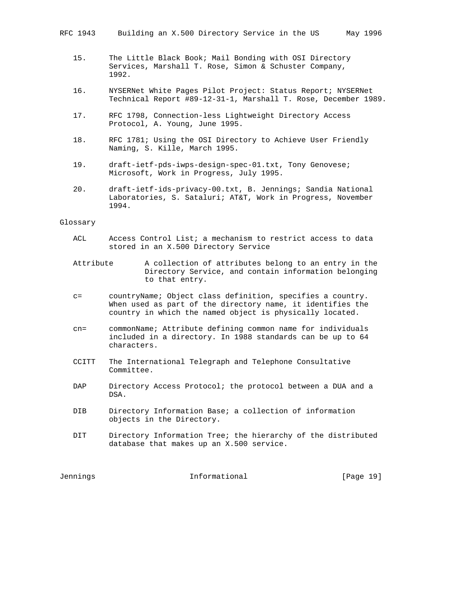- 15. The Little Black Book; Mail Bonding with OSI Directory Services, Marshall T. Rose, Simon & Schuster Company, 1992.
- 16. NYSERNet White Pages Pilot Project: Status Report; NYSERNet Technical Report #89-12-31-1, Marshall T. Rose, December 1989.
- 17. RFC 1798, Connection-less Lightweight Directory Access Protocol, A. Young, June 1995.
- 18. RFC 1781; Using the OSI Directory to Achieve User Friendly Naming, S. Kille, March 1995.
- 19. draft-ietf-pds-iwps-design-spec-01.txt, Tony Genovese; Microsoft, Work in Progress, July 1995.
- 20. draft-ietf-ids-privacy-00.txt, B. Jennings; Sandia National Laboratories, S. Sataluri; AT&T, Work in Progress, November 1994.

#### Glossary

- ACL Access Control List; a mechanism to restrict access to data stored in an X.500 Directory Service
- Attribute A collection of attributes belong to an entry in the Directory Service, and contain information belonging to that entry.
- c= countryName; Object class definition, specifies a country. When used as part of the directory name, it identifies the country in which the named object is physically located.
- cn= commonName; Attribute defining common name for individuals included in a directory. In 1988 standards can be up to 64 characters.
- CCITT The International Telegraph and Telephone Consultative Committee.
- DAP Directory Access Protocol; the protocol between a DUA and a DSA.
- DIB Directory Information Base; a collection of information objects in the Directory.
- DIT Directory Information Tree; the hierarchy of the distributed database that makes up an X.500 service.

Jennings Informational [Page 19]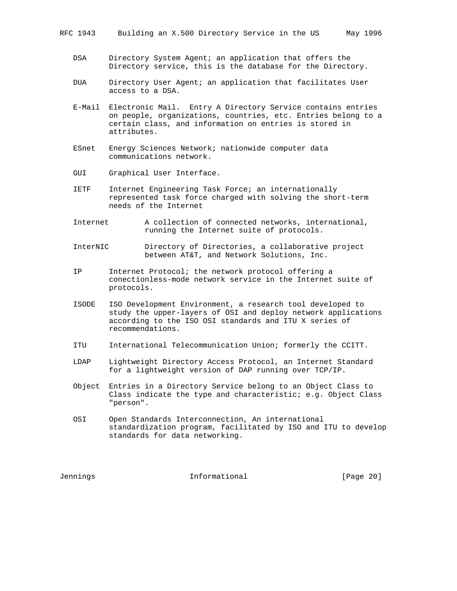- DSA Directory System Agent; an application that offers the Directory service, this is the database for the Directory.
- DUA Directory User Agent; an application that facilitates User access to a DSA.
- E-Mail Electronic Mail. Entry A Directory Service contains entries on people, organizations, countries, etc. Entries belong to a certain class, and information on entries is stored in attributes.
- ESnet Energy Sciences Network; nationwide computer data communications network.
- GUI Graphical User Interface.
- IETF Internet Engineering Task Force; an internationally represented task force charged with solving the short-term needs of the Internet
- Internet A collection of connected networks, international, running the Internet suite of protocols.
- InterNIC Directory of Directories, a collaborative project between AT&T, and Network Solutions, Inc.
- IP Internet Protocol; the network protocol offering a conectionless-mode network service in the Internet suite of protocols.
- ISODE ISO Development Environment, a research tool developed to study the upper-layers of OSI and deploy network applications according to the ISO OSI standards and ITU X series of recommendations.
- ITU International Telecommunication Union; formerly the CCITT.
- LDAP Lightweight Directory Access Protocol, an Internet Standard for a lightweight version of DAP running over TCP/IP.
- Object Entries in a Directory Service belong to an Object Class to Class indicate the type and characteristic; e.g. Object Class "person".
- OSI Open Standards Interconnection, An international standardization program, facilitated by ISO and ITU to develop standards for data networking.

Jennings Informational [Page 20]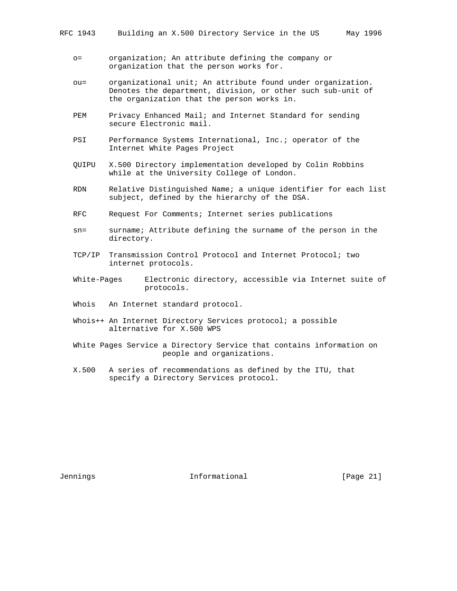- o= organization; An attribute defining the company or organization that the person works for.
- ou= organizational unit; An attribute found under organization. Denotes the department, division, or other such sub-unit of the organization that the person works in.
- PEM Privacy Enhanced Mail; and Internet Standard for sending secure Electronic mail.
- PSI Performance Systems International, Inc.; operator of the Internet White Pages Project
- QUIPU X.500 Directory implementation developed by Colin Robbins while at the University College of London.
- RDN Relative Distinguished Name; a unique identifier for each list subject, defined by the hierarchy of the DSA.
- RFC Request For Comments; Internet series publications
- sn= surname; Attribute defining the surname of the person in the directory.
- TCP/IP Transmission Control Protocol and Internet Protocol; two internet protocols.
- White-Pages Electronic directory, accessible via Internet suite of protocols.
- Whois An Internet standard protocol.
- Whois++ An Internet Directory Services protocol; a possible alternative for X.500 WPS
- White Pages Service a Directory Service that contains information on people and organizations.
- X.500 A series of recommendations as defined by the ITU, that specify a Directory Services protocol.

Jennings Informational [Page 21]